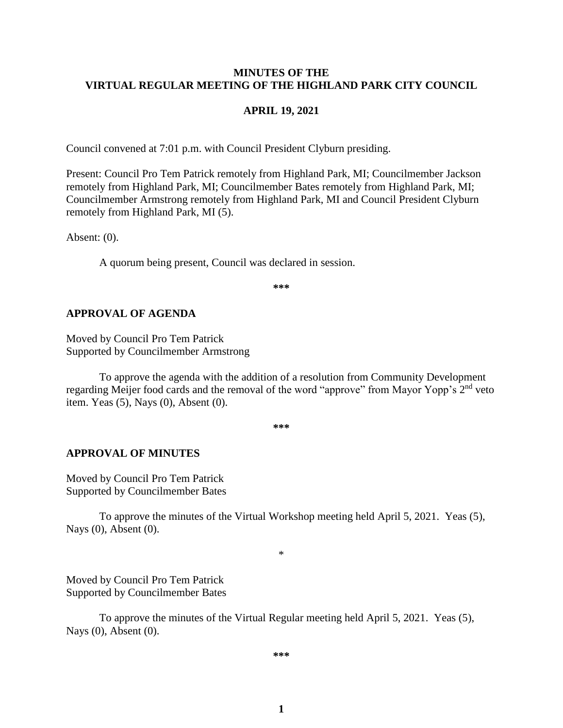#### **MINUTES OF THE VIRTUAL REGULAR MEETING OF THE HIGHLAND PARK CITY COUNCIL**

#### **APRIL 19, 2021**

Council convened at 7:01 p.m. with Council President Clyburn presiding.

Present: Council Pro Tem Patrick remotely from Highland Park, MI; Councilmember Jackson remotely from Highland Park, MI; Councilmember Bates remotely from Highland Park, MI; Councilmember Armstrong remotely from Highland Park, MI and Council President Clyburn remotely from Highland Park, MI (5).

Absent: (0).

A quorum being present, Council was declared in session.

**\*\*\***

#### **APPROVAL OF AGENDA**

Moved by Council Pro Tem Patrick Supported by Councilmember Armstrong

To approve the agenda with the addition of a resolution from Community Development regarding Meijer food cards and the removal of the word "approve" from Mayor Yopp's 2<sup>nd</sup> veto item. Yeas (5), Nays (0), Absent (0).

**\*\*\***

#### **APPROVAL OF MINUTES**

Moved by Council Pro Tem Patrick Supported by Councilmember Bates

To approve the minutes of the Virtual Workshop meeting held April 5, 2021.Yeas (5), Nays (0), Absent (0).

\*

Moved by Council Pro Tem Patrick Supported by Councilmember Bates

To approve the minutes of the Virtual Regular meeting held April 5, 2021.Yeas (5), Nays (0), Absent (0).

**\*\*\***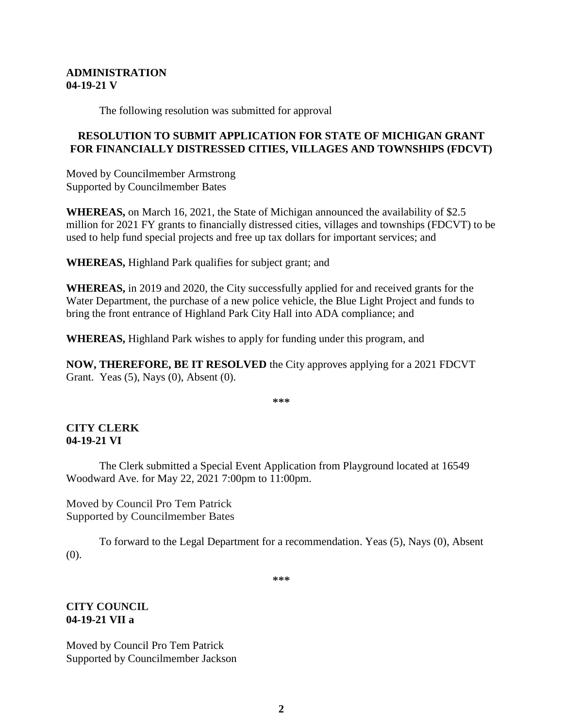#### **ADMINISTRATION 04-19-21 V**

The following resolution was submitted for approval

## **RESOLUTION TO SUBMIT APPLICATION FOR STATE OF MICHIGAN GRANT FOR FINANCIALLY DISTRESSED CITIES, VILLAGES AND TOWNSHIPS (FDCVT)**

Moved by Councilmember Armstrong Supported by Councilmember Bates

**WHEREAS,** on March 16, 2021, the State of Michigan announced the availability of \$2.5 million for 2021 FY grants to financially distressed cities, villages and townships (FDCVT) to be used to help fund special projects and free up tax dollars for important services; and

**WHEREAS,** Highland Park qualifies for subject grant; and

**WHEREAS,** in 2019 and 2020, the City successfully applied for and received grants for the Water Department, the purchase of a new police vehicle, the Blue Light Project and funds to bring the front entrance of Highland Park City Hall into ADA compliance; and

**WHEREAS,** Highland Park wishes to apply for funding under this program, and

**NOW, THEREFORE, BE IT RESOLVED** the City approves applying for a 2021 FDCVT Grant. Yeas (5), Nays (0), Absent (0).

**\*\*\***

## **CITY CLERK 04-19-21 VI**

The Clerk submitted a Special Event Application from Playground located at 16549 Woodward Ave. for May 22, 2021 7:00pm to 11:00pm.

Moved by Council Pro Tem Patrick Supported by Councilmember Bates

To forward to the Legal Department for a recommendation. Yeas (5), Nays (0), Absent (0).

**\*\*\***

## **CITY COUNCIL 04-19-21 VII a**

Moved by Council Pro Tem Patrick Supported by Councilmember Jackson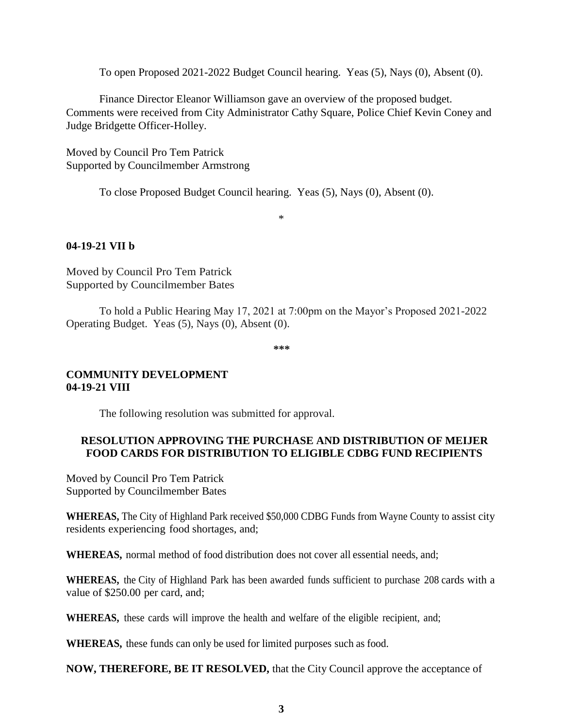To open Proposed 2021-2022 Budget Council hearing. Yeas (5), Nays (0), Absent (0).

Finance Director Eleanor Williamson gave an overview of the proposed budget. Comments were received from City Administrator Cathy Square, Police Chief Kevin Coney and Judge Bridgette Officer-Holley.

Moved by Council Pro Tem Patrick Supported by Councilmember Armstrong

To close Proposed Budget Council hearing. Yeas (5), Nays (0), Absent (0).

\*

## **04-19-21 VII b**

Moved by Council Pro Tem Patrick Supported by Councilmember Bates

To hold a Public Hearing May 17, 2021 at 7:00pm on the Mayor's Proposed 2021-2022 Operating Budget. Yeas (5), Nays (0), Absent (0).

**\*\*\***

## **COMMUNITY DEVELOPMENT 04-19-21 VIII**

The following resolution was submitted for approval.

## **RESOLUTION APPROVING THE PURCHASE AND DISTRIBUTION OF MEIJER FOOD CARDS FOR DISTRIBUTION TO ELIGIBLE CDBG FUND RECIPIENTS**

Moved by Council Pro Tem Patrick Supported by Councilmember Bates

**WHEREAS,** The City of Highland Park received \$50,000 CDBG Funds from Wayne County to assist city residents experiencing food shortages, and;

**WHEREAS,** normal method of food distribution does not cover all essential needs, and;

**WHEREAS,** the City of Highland Park has been awarded funds sufficient to purchase 208 cards with a value of \$250.00 per card, and;

**WHEREAS,** these cards will improve the health and welfare of the eligible recipient, and;

**WHEREAS,** these funds can only be used for limited purposes such as food.

**NOW, THEREFORE, BE IT RESOLVED,** that the City Council approve the acceptance of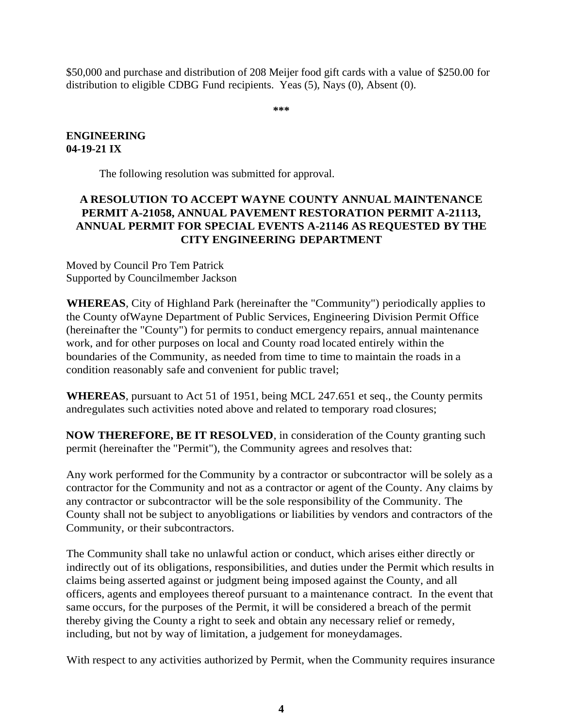\$50,000 and purchase and distribution of 208 Meijer food gift cards with a value of \$250.00 for distribution to eligible CDBG Fund recipients. Yeas (5), Nays (0), Absent (0).

**\*\*\***

## **ENGINEERING 04-19-21 IX**

The following resolution was submitted for approval.

# **A RESOLUTION TO ACCEPT WAYNE COUNTY ANNUAL MAINTENANCE PERMIT A-21058, ANNUAL PAVEMENT RESTORATION PERMIT A-21113, ANNUAL PERMIT FOR SPECIAL EVENTS A-21146 AS REQUESTED BY THE CITY ENGINEERING DEPARTMENT**

Moved by Council Pro Tem Patrick Supported by Councilmember Jackson

**WHEREAS**, City of Highland Park (hereinafter the "Community") periodically applies to the County ofWayne Department of Public Services, Engineering Division Permit Office (hereinafter the "County") for permits to conduct emergency repairs, annual maintenance work, and for other purposes on local and County road located entirely within the boundaries of the Community, as needed from time to time to maintain the roads in a condition reasonably safe and convenient for public travel;

**WHEREAS**, pursuant to Act 51 of 1951, being MCL 247.651 et seq., the County permits andregulates such activities noted above and related to temporary road closures;

**NOW THEREFORE, BE IT RESOLVED**, in consideration of the County granting such permit (hereinafter the "Permit"), the Community agrees and resolves that:

Any work performed for the Community by a contractor or subcontractor will be solely as a contractor for the Community and not as a contractor or agent of the County. Any claims by any contractor or subcontractor will be the sole responsibility of the Community. The County shall not be subject to anyobligations or liabilities by vendors and contractors of the Community, or their subcontractors.

The Community shall take no unlawful action or conduct, which arises either directly or indirectly out of its obligations, responsibilities, and duties under the Permit which results in claims being asserted against or judgment being imposed against the County, and all officers, agents and employees thereof pursuant to a maintenance contract. In the event that same occurs, for the purposes of the Permit, it will be considered a breach of the permit thereby giving the County a right to seek and obtain any necessary relief or remedy, including, but not by way of limitation, a judgement for moneydamages.

With respect to any activities authorized by Permit, when the Community requires insurance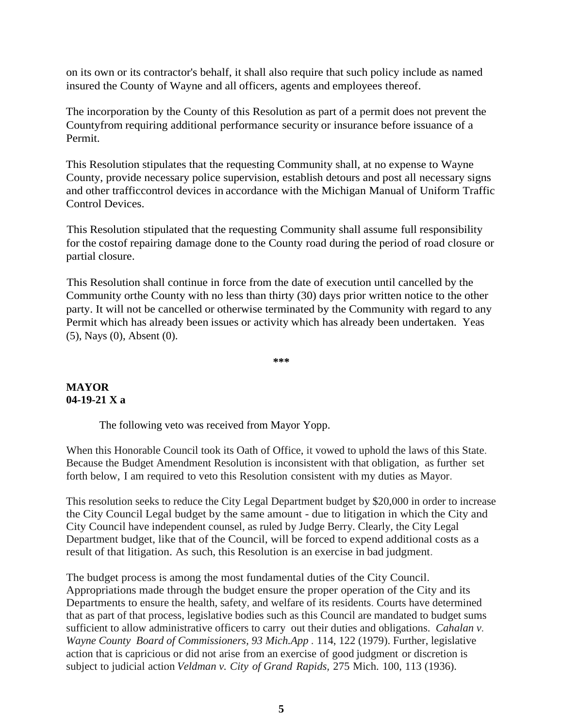on its own or its contractor's behalf, it shall also require that such policy include as named insured the County of Wayne and all officers, agents and employees thereof.

The incorporation by the County of this Resolution as part of a permit does not prevent the Countyfrom requiring additional performance security or insurance before issuance of a Permit.

This Resolution stipulates that the requesting Community shall, at no expense to Wayne County, provide necessary police supervision, establish detours and post all necessary signs and other trafficcontrol devices in accordance with the Michigan Manual of Uniform Traffic Control Devices.

This Resolution stipulated that the requesting Community shall assume full responsibility for the costof repairing damage done to the County road during the period of road closure or partial closure.

This Resolution shall continue in force from the date of execution until cancelled by the Community orthe County with no less than thirty (30) days prior written notice to the other party. It will not be cancelled or otherwise terminated by the Community with regard to any Permit which has already been issues or activity which has already been undertaken. Yeas (5), Nays (0), Absent (0).

**\*\*\***

## **MAYOR 04-19-21 X a**

The following veto was received from Mayor Yopp.

When this Honorable Council took its Oath of Office, it vowed to uphold the laws of this State. Because the Budget Amendment Resolution is inconsistent with that obligation, as further set forth below, I am required to veto this Resolution consistent with my duties as Mayor.

This resolution seeks to reduce the City Legal Department budget by \$20,000 in order to increase the City Council Legal budget by the same amount - due to litigation in which the City and City Council have independent counsel, as ruled by Judge Berry. Clearly, the City Legal Department budget, like that of the Council, will be forced to expend additional costs as a result of that litigation. As such, this Resolution is an exercise in bad judgment.

The budget process is among the most fundamental duties of the City Council. Appropriations made through the budget ensure the proper operation of the City and its Departments to ensure the health, safety, and welfare of its residents. Courts have determined that as part of that process, legislative bodies such as this Council are mandated to budget sums sufficient to allow administrative officers to carry out their duties and obligations. *Cahalan v. Wayne County Board of Commissioners, 93 Mich.App .* 114, 122 (1979). Further, legislative action that is capricious or did not arise from an exercise of good judgment or discretion is subject to judicial action *Veldman v. City of Grand Rapids,* 275 Mich. 100, 113 (1936).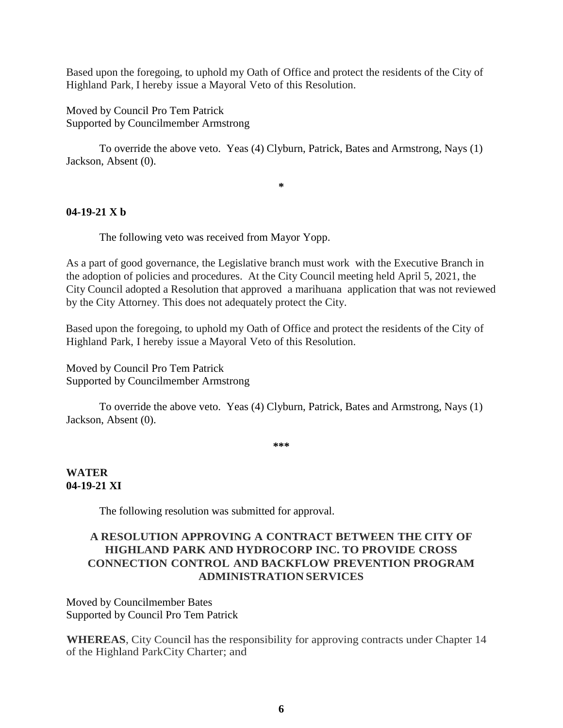Based upon the foregoing, to uphold my Oath of Office and protect the residents of the City of Highland Park, I hereby issue a Mayoral Veto of this Resolution.

Moved by Council Pro Tem Patrick Supported by Councilmember Armstrong

To override the above veto. Yeas (4) Clyburn, Patrick, Bates and Armstrong, Nays (1) Jackson, Absent (0).

**\***

## **04-19-21 X b**

The following veto was received from Mayor Yopp.

As a part of good governance, the Legislative branch must work with the Executive Branch in the adoption of policies and procedures. At the City Council meeting held April 5, 2021, the City Council adopted a Resolution that approved a marihuana application that was not reviewed by the City Attorney. This does not adequately protect the City.

Based upon the foregoing, to uphold my Oath of Office and protect the residents of the City of Highland Park, I hereby issue a Mayoral Veto of this Resolution.

Moved by Council Pro Tem Patrick Supported by Councilmember Armstrong

To override the above veto. Yeas (4) Clyburn, Patrick, Bates and Armstrong, Nays (1) Jackson, Absent (0).

**\*\*\***

### **WATER 04-19-21 XI**

The following resolution was submitted for approval.

## **A RESOLUTION APPROVING A CONTRACT BETWEEN THE CITY OF HIGHLAND PARK AND HYDROCORP INC. TO PROVIDE CROSS CONNECTION CONTROL AND BACKFLOW PREVENTION PROGRAM ADMINISTRATION SERVICES**

Moved by Councilmember Bates Supported by Council Pro Tem Patrick

**WHEREAS**, City Council has the responsibility for approving contracts under Chapter 14 of the Highland ParkCity Charter; and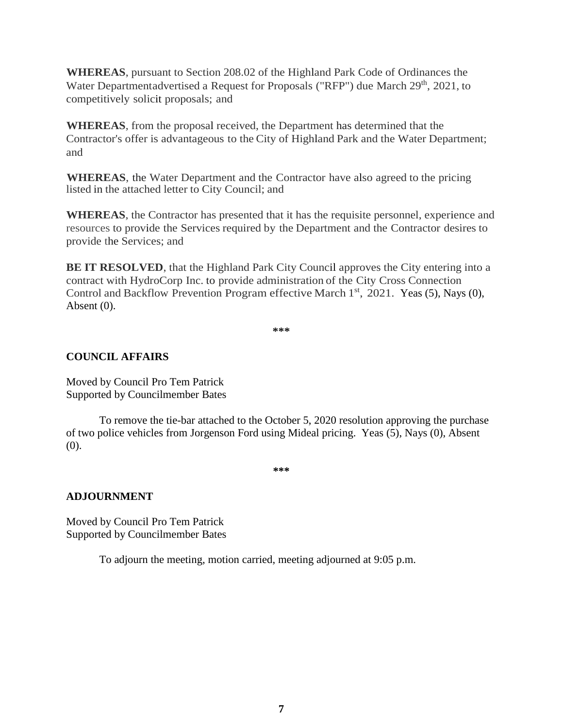**WHEREAS**, pursuant to Section 208.02 of the Highland Park Code of Ordinances the Water Departmentadvertised a Request for Proposals ("RFP") due March 29<sup>th</sup>, 2021, to competitively solicit proposals; and

**WHEREAS**, from the proposal received, the Department has determined that the Contractor's offer is advantageous to the City of Highland Park and the Water Department; and

**WHEREAS**, the Water Department and the Contractor have also agreed to the pricing listed in the attached letter to City Council; and

**WHEREAS**, the Contractor has presented that it has the requisite personnel, experience and resources to provide the Services required by the Department and the Contractor desires to provide the Services; and

**BE IT RESOLVED**, that the Highland Park City Council approves the City entering into a contract with HydroCorp Inc. to provide administration of the City Cross Connection Control and Backflow Prevention Program effective March 1<sup>st</sup>, 2021. Yeas (5), Nays (0), Absent (0).

**\*\*\***

## **COUNCIL AFFAIRS**

Moved by Council Pro Tem Patrick Supported by Councilmember Bates

To remove the tie-bar attached to the October 5, 2020 resolution approving the purchase of two police vehicles from Jorgenson Ford using Mideal pricing. Yeas (5), Nays (0), Absent (0).

**\*\*\***

#### **ADJOURNMENT**

Moved by Council Pro Tem Patrick Supported by Councilmember Bates

To adjourn the meeting, motion carried, meeting adjourned at 9:05 p.m.